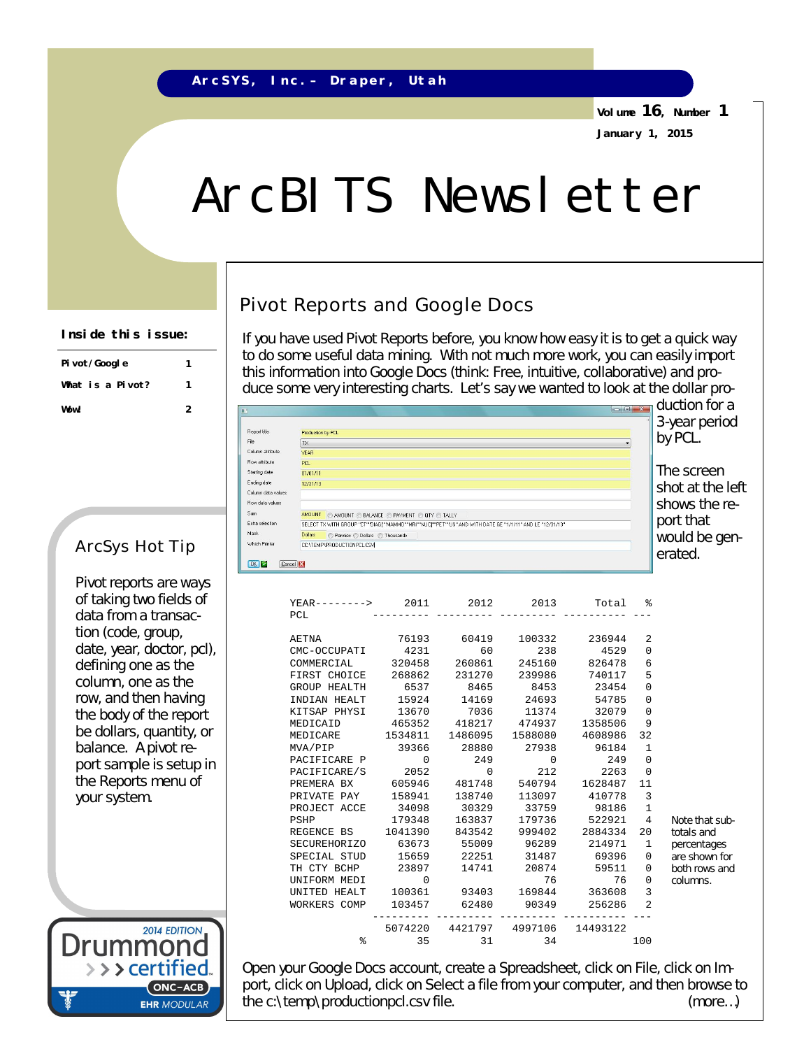**Volume 16, Number 1 January 1, 2015**

> duction for a 3-year period by PCL.

 $\begin{array}{c|c|c|c|c} \hline \multicolumn{3}{c|}{\mathbf{C}} & \multicolumn{3}{c|}{\mathbf{X}} \\ \hline \end{array}$ 

The screen shot at the left shows the report that would be generated.

# ArcBITS Newsletter

### Pivot Reports and Google Docs

If you have used Pivot Reports before, you know how easy it is to get a quick way to do some useful data mining. With not much more work, you can easily import this information into Google Docs (think: Free, intuitive, collaborative) and produce some very interesting charts. Let's say we wanted to look at the dollar pro-

**Pivot/Google 1 What is a Pivot? 1 Wow! 2**

**Inside this issue:**

Pivot reports are ways of taking two fields of data from a transaction (code, group, date, year, doctor, pcl), defining one as the column, one as the row, and then having the body of the report be dollars, quantity, or balance. A pivot report sample is setup in the Reports menu of your system.

2014 EDITION Drummo > > > certified. ONC-ACB **EHR MODULAR** 

Open your Google Docs account, create a Spreadsheet, click on File, click on Import, click on Upload, click on Select a file from your computer, and then browse to the c:\temp\productionpcl.csv file.  $(m^2 - m^2)$  (more...)

| $YEAR------2011$                      |                 | 2012        | 2013     | Total                            | ፠              |                |
|---------------------------------------|-----------------|-------------|----------|----------------------------------|----------------|----------------|
| PCL                                   |                 |             |          |                                  |                |                |
| AETNA                                 |                 |             |          | 76193 60419 100332 236944        | 2              |                |
| CMC-OCCUPATI 4231                     |                 | 60          | 238      | 4529                             | $\Omega$       |                |
| COMMERCIAL 320458 260861              |                 |             | 245160   | 826478                           | 6              |                |
| FIRST CHOICE 268862                   |                 | 231270      | 239986   | 740117                           | 5              |                |
| GROUP HEALTH                          | 6537            | 8465        | 8453     | 23454                            | $\Omega$       |                |
| INDIAN HEALT                          |                 |             |          | 15924 14169 24693 54785          | 0              |                |
| KITSAP PHYSI                          |                 | 13670 7036  | 11374    | 32079                            | $\mathbf 0$    |                |
| MEDICAID                              | 465352 418217   |             | 474937   | 1358506                          | 9              |                |
| MEDICARE                              | 1534811 1486095 |             | 1588080  | 4608986                          | 32             |                |
| MVA/PIP 39366 28880                   |                 |             | 27938    | 96184                            | 1              |                |
| PACIFICARE P                          | $\Omega$        | 249         | $\Omega$ | 249                              | $\Omega$       |                |
| PACIFICARE/S                          | 2052 0          |             | 212      | 2263                             | $\Omega$       |                |
| PREMERA BX                            | 605946 481748   |             | 540794   | 1628487                          | 11             |                |
| PRIVATE PAY 158941                    |                 | 138740      |          | 113097 410778                    | $\overline{3}$ |                |
| PROJECT ACCE                          | 34098           |             |          | 30329 33759 98186                | $\mathbf{1}$   |                |
| PSHP                                  | 179348          | 163837      |          | 179736 522921                    | 4              | Note that sub- |
| REGENCE BS 1041390                    |                 | 843542      | 999402   | 2884334                          | 20             | totals and     |
| SECUREHORIZO 63673 55009 96289 214971 |                 |             |          |                                  | 1              | percentages    |
| SPECIAL STUD                          |                 | 15659 22251 | 31487    | 69396                            | 0              | are shown for  |
| TH CTY BCHP                           | 23897           | 14741       | 20874    | 59511                            | 0              | both rows and  |
| UNIFORM MEDI                          | $\Omega$        |             | 76       | 76                               | $\Omega$       | columns.       |
| UNITED HEALT                          |                 |             |          | 100361 93403 169844 363608       | 3              |                |
| WORKERS COMP                          | 103457          | 62480       | 90349    | 256286                           | $\overline{2}$ |                |
|                                       |                 |             |          | 5074220 4421797 4997106 14493122 |                |                |
| ٩,                                    | 35              | 31          | 34       |                                  | 100            |                |

## ArcSys Hot Tip

Which Printer OK Cancel X

Production by PCL

 $\sqrt{K}$ 

**YEAR** 

 $PCL$ 

 $01/01/11$ 

12/31/13

CONTEMPAPRODUCTIONPCLCSM

Bow data values Sum AMOUNT CAMOUNT C BALANCE C PAYMENT C QTY C TALLY Extra selection SELECT TX WITH GROUP "CT""DIAGT"MAMMO""MRI""NUCT"PET""US" AND WITH DATE GE "1/1/11" AND LE "12/31/13" Mask Dollars Dennies © Dollars © Thousands

.<br>Report title

Column attribute

**Row attribute** 

**Starting date** 

Ending date

Column data value

.<br>File